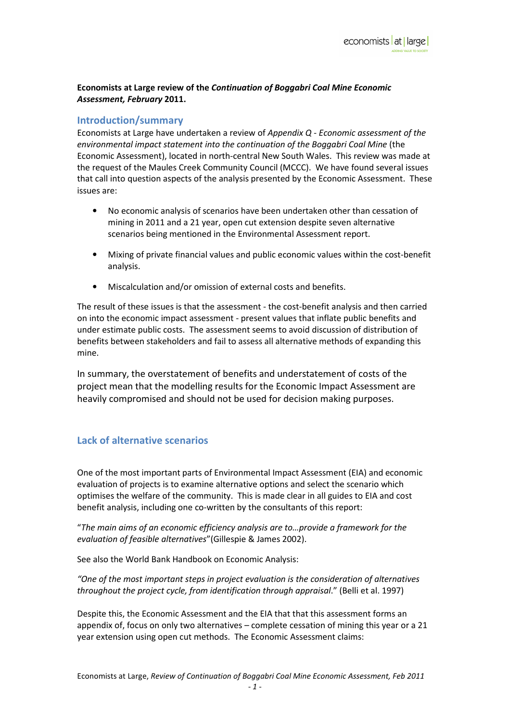Economists at Large review of the Continuation of Boggabri Coal Mine Economic Assessment, February 2011.

#### Introduction/summary

Economists at Large have undertaken a review of Appendix Q - Economic assessment of the environmental impact statement into the continuation of the Boggabri Coal Mine (the Economic Assessment), located in north-central New South Wales. This review was made at the request of the Maules Creek Community Council (MCCC). We have found several issues that call into question aspects of the analysis presented by the Economic Assessment. These issues are:

- No economic analysis of scenarios have been undertaken other than cessation of mining in 2011 and a 21 year, open cut extension despite seven alternative scenarios being mentioned in the Environmental Assessment report.
- Mixing of private financial values and public economic values within the cost-benefit analysis.
- Miscalculation and/or omission of external costs and benefits.

The result of these issues is that the assessment - the cost-benefit analysis and then carried on into the economic impact assessment - present values that inflate public benefits and under estimate public costs. The assessment seems to avoid discussion of distribution of benefits between stakeholders and fail to assess all alternative methods of expanding this mine.

In summary, the overstatement of benefits and understatement of costs of the project mean that the modelling results for the Economic Impact Assessment are heavily compromised and should not be used for decision making purposes.

## Lack of alternative scenarios

One of the most important parts of Environmental Impact Assessment (EIA) and economic evaluation of projects is to examine alternative options and select the scenario which optimises the welfare of the community. This is made clear in all guides to EIA and cost benefit analysis, including one co-written by the consultants of this report:

"The main aims of an economic efficiency analysis are to…provide a framework for the evaluation of feasible alternatives"(Gillespie & James 2002).

See also the World Bank Handbook on Economic Analysis:

"One of the most important steps in project evaluation is the consideration of alternatives throughout the project cycle, from identification through appraisal." (Belli et al. 1997)

Despite this, the Economic Assessment and the EIA that that this assessment forms an appendix of, focus on only two alternatives – complete cessation of mining this year or a 21 year extension using open cut methods. The Economic Assessment claims: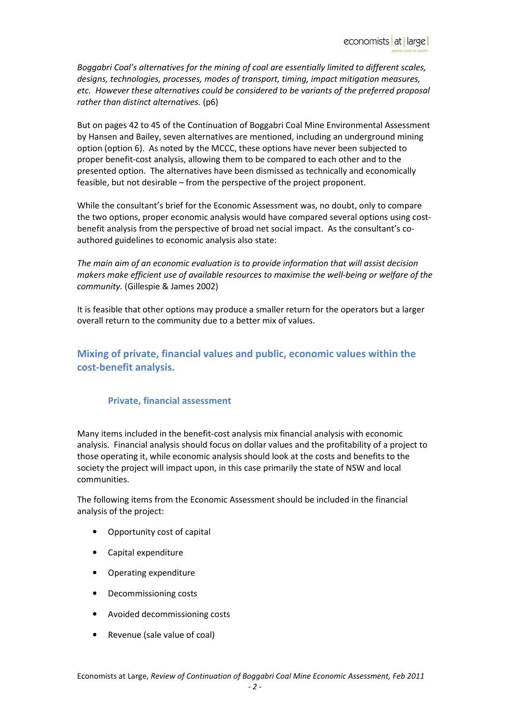Boggabri Coal's alternatives for the mining of coal are essentially limited to different scales, designs, technologies, processes, modes of transport, timing, impact mitigation measures, etc. However these alternatives could be considered to be variants of the preferred proposal rather than distinct alternatives. (p6)

But on pages 42 to 45 of the Continuation of Boggabri Coal Mine Environmental Assessment by Hansen and Bailey, seven alternatives are mentioned, including an underground mining option (option 6). As noted by the MCCC, these options have never been subjected to proper benefit-cost analysis, allowing them to be compared to each other and to the presented option. The alternatives have been dismissed as technically and economically feasible, but not desirable – from the perspective of the project proponent.

While the consultant's brief for the Economic Assessment was, no doubt, only to compare the two options, proper economic analysis would have compared several options using costbenefit analysis from the perspective of broad net social impact. As the consultant's coauthored guidelines to economic analysis also state:

The main aim of an economic evaluation is to provide information that will assist decision makers make efficient use of available resources to maximise the well-being or welfare of the community. (Gillespie & James 2002)

It is feasible that other options may produce a smaller return for the operators but a larger overall return to the community due to a better mix of values.

Mixing of private, financial values and public, economic values within the cost-benefit analysis.

#### Private, financial assessment

Many items included in the benefit-cost analysis mix financial analysis with economic analysis. Financial analysis should focus on dollar values and the profitability of a project to those operating it, while economic analysis should look at the costs and benefits to the society the project will impact upon, in this case primarily the state of NSW and local communities.

The following items from the Economic Assessment should be included in the financial analysis of the project:

- Opportunity cost of capital
- Capital expenditure
- Operating expenditure
- Decommissioning costs
- Avoided decommissioning costs
- Revenue (sale value of coal)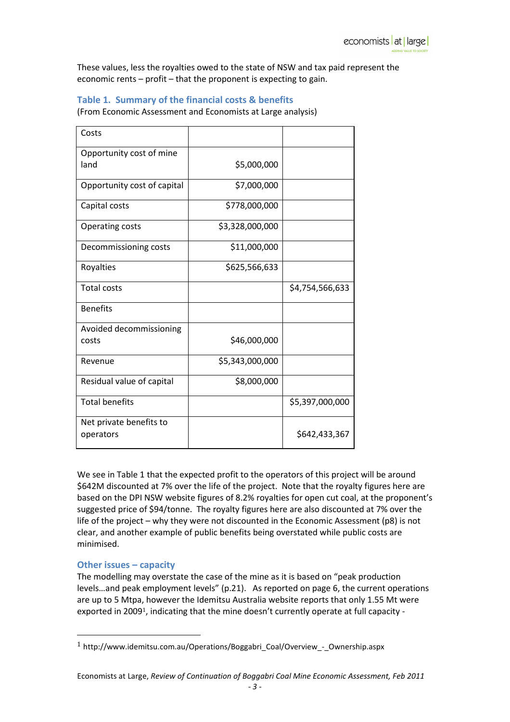These values, less the royalties owed to the state of NSW and tax paid represent the economic rents – profit – that the proponent is expecting to gain.

### Table 1. Summary of the financial costs & benefits

(From Economic Assessment and Economists at Large analysis)

| Costs                       |                 |                 |
|-----------------------------|-----------------|-----------------|
| Opportunity cost of mine    |                 |                 |
| land                        | \$5,000,000     |                 |
|                             |                 |                 |
| Opportunity cost of capital | \$7,000,000     |                 |
| Capital costs               | \$778,000,000   |                 |
|                             |                 |                 |
| <b>Operating costs</b>      | \$3,328,000,000 |                 |
| Decommissioning costs       | \$11,000,000    |                 |
|                             |                 |                 |
| Royalties                   | \$625,566,633   |                 |
| <b>Total costs</b>          |                 | \$4,754,566,633 |
|                             |                 |                 |
| <b>Benefits</b>             |                 |                 |
| Avoided decommissioning     |                 |                 |
| costs                       | \$46,000,000    |                 |
|                             |                 |                 |
| Revenue                     | \$5,343,000,000 |                 |
|                             |                 |                 |
| Residual value of capital   | \$8,000,000     |                 |
| <b>Total benefits</b>       |                 | \$5,397,000,000 |
|                             |                 |                 |
| Net private benefits to     |                 |                 |
| operators                   |                 | \$642,433,367   |
|                             |                 |                 |

We see in Table 1 that the expected profit to the operators of this project will be around \$642M discounted at 7% over the life of the project. Note that the royalty figures here are based on the DPI NSW website figures of 8.2% royalties for open cut coal, at the proponent's suggested price of \$94/tonne. The royalty figures here are also discounted at 7% over the life of the project – why they were not discounted in the Economic Assessment (p8) is not clear, and another example of public benefits being overstated while public costs are minimised.

#### Other issues – capacity

 $\overline{a}$ 

The modelling may overstate the case of the mine as it is based on "peak production levels…and peak employment levels" (p.21). As reported on page 6, the current operations are up to 5 Mtpa, however the Idemitsu Australia website reports that only 1.55 Mt were exported in 20091, indicating that the mine doesn't currently operate at full capacity -

<sup>&</sup>lt;sup>1</sup> http://www.idemitsu.com.au/Operations/Boggabri\_Coal/Overview - Ownership.aspx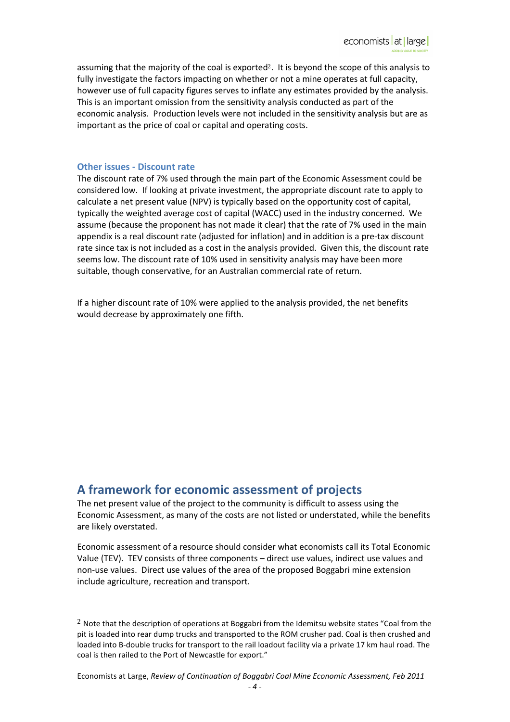assuming that the majority of the coal is exported2. It is beyond the scope of this analysis to fully investigate the factors impacting on whether or not a mine operates at full capacity, however use of full capacity figures serves to inflate any estimates provided by the analysis. This is an important omission from the sensitivity analysis conducted as part of the economic analysis. Production levels were not included in the sensitivity analysis but are as important as the price of coal or capital and operating costs.

#### Other issues - Discount rate

 $\overline{a}$ 

The discount rate of 7% used through the main part of the Economic Assessment could be considered low. If looking at private investment, the appropriate discount rate to apply to calculate a net present value (NPV) is typically based on the opportunity cost of capital, typically the weighted average cost of capital (WACC) used in the industry concerned. We assume (because the proponent has not made it clear) that the rate of 7% used in the main appendix is a real discount rate (adjusted for inflation) and in addition is a pre-tax discount rate since tax is not included as a cost in the analysis provided. Given this, the discount rate seems low. The discount rate of 10% used in sensitivity analysis may have been more suitable, though conservative, for an Australian commercial rate of return.

If a higher discount rate of 10% were applied to the analysis provided, the net benefits would decrease by approximately one fifth.

# A framework for economic assessment of projects

The net present value of the project to the community is difficult to assess using the Economic Assessment, as many of the costs are not listed or understated, while the benefits are likely overstated.

Economic assessment of a resource should consider what economists call its Total Economic Value (TEV). TEV consists of three components – direct use values, indirect use values and non-use values. Direct use values of the area of the proposed Boggabri mine extension include agriculture, recreation and transport.

<sup>&</sup>lt;sup>2</sup> Note that the description of operations at Boggabri from the Idemitsu website states "Coal from the pit is loaded into rear dump trucks and transported to the ROM crusher pad. Coal is then crushed and loaded into B-double trucks for transport to the rail loadout facility via a private 17 km haul road. The coal is then railed to the Port of Newcastle for export."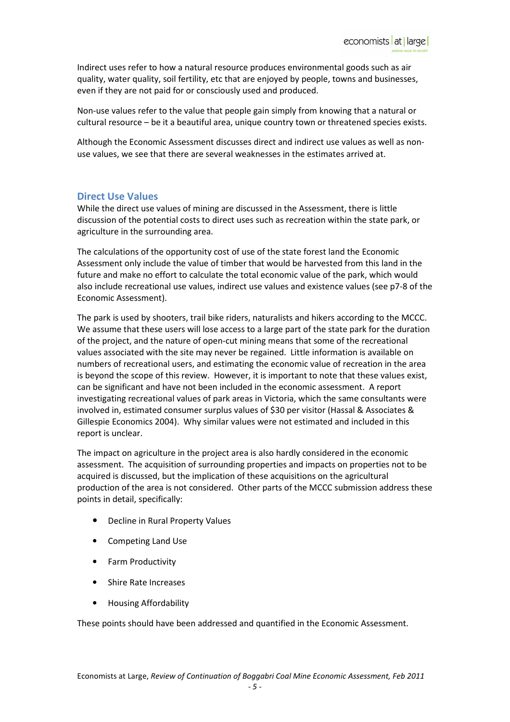Indirect uses refer to how a natural resource produces environmental goods such as air quality, water quality, soil fertility, etc that are enjoyed by people, towns and businesses, even if they are not paid for or consciously used and produced.

Non-use values refer to the value that people gain simply from knowing that a natural or cultural resource – be it a beautiful area, unique country town or threatened species exists.

Although the Economic Assessment discusses direct and indirect use values as well as nonuse values, we see that there are several weaknesses in the estimates arrived at.

#### Direct Use Values

While the direct use values of mining are discussed in the Assessment, there is little discussion of the potential costs to direct uses such as recreation within the state park, or agriculture in the surrounding area.

The calculations of the opportunity cost of use of the state forest land the Economic Assessment only include the value of timber that would be harvested from this land in the future and make no effort to calculate the total economic value of the park, which would also include recreational use values, indirect use values and existence values (see p7-8 of the Economic Assessment).

The park is used by shooters, trail bike riders, naturalists and hikers according to the MCCC. We assume that these users will lose access to a large part of the state park for the duration of the project, and the nature of open-cut mining means that some of the recreational values associated with the site may never be regained. Little information is available on numbers of recreational users, and estimating the economic value of recreation in the area is beyond the scope of this review. However, it is important to note that these values exist, can be significant and have not been included in the economic assessment. A report investigating recreational values of park areas in Victoria, which the same consultants were involved in, estimated consumer surplus values of \$30 per visitor (Hassal & Associates & Gillespie Economics 2004). Why similar values were not estimated and included in this report is unclear.

The impact on agriculture in the project area is also hardly considered in the economic assessment. The acquisition of surrounding properties and impacts on properties not to be acquired is discussed, but the implication of these acquisitions on the agricultural production of the area is not considered. Other parts of the MCCC submission address these points in detail, specifically:

- Decline in Rural Property Values
- Competing Land Use
- Farm Productivity
- Shire Rate Increases
- Housing Affordability

These points should have been addressed and quantified in the Economic Assessment.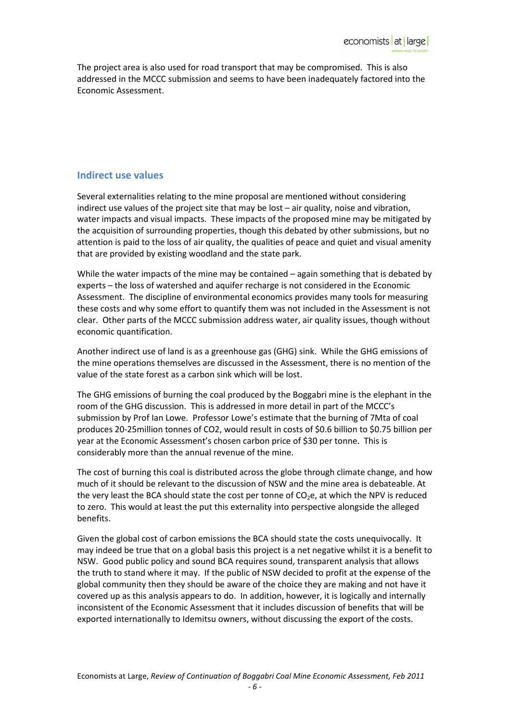The project area is also used for road transport that may be compromised. This is also addressed in the MCCC submission and seems to have been inadequately factored into the Economic Assessment.

### Indirect use values

Several externalities relating to the mine proposal are mentioned without considering indirect use values of the project site that may be lost – air quality, noise and vibration, water impacts and visual impacts. These impacts of the proposed mine may be mitigated by the acquisition of surrounding properties, though this debated by other submissions, but no attention is paid to the loss of air quality, the qualities of peace and quiet and visual amenity that are provided by existing woodland and the state park.

While the water impacts of the mine may be contained – again something that is debated by experts – the loss of watershed and aquifer recharge is not considered in the Economic Assessment. The discipline of environmental economics provides many tools for measuring these costs and why some effort to quantify them was not included in the Assessment is not clear. Other parts of the MCCC submission address water, air quality issues, though without economic quantification.

Another indirect use of land is as a greenhouse gas (GHG) sink. While the GHG emissions of the mine operations themselves are discussed in the Assessment, there is no mention of the value of the state forest as a carbon sink which will be lost.

The GHG emissions of burning the coal produced by the Boggabri mine is the elephant in the room of the GHG discussion. This is addressed in more detail in part of the MCCC's submission by Prof Ian Lowe. Professor Lowe's estimate that the burning of 7Mta of coal produces 20-25million tonnes of CO2, would result in costs of \$0.6 billion to \$0.75 billion per year at the Economic Assessment's chosen carbon price of \$30 per tonne. This is considerably more than the annual revenue of the mine.

The cost of burning this coal is distributed across the globe through climate change, and how much of it should be relevant to the discussion of NSW and the mine area is debateable. At the very least the BCA should state the cost per tonne of  $CO<sub>2</sub>e$ , at which the NPV is reduced to zero. This would at least the put this externality into perspective alongside the alleged benefits.

Given the global cost of carbon emissions the BCA should state the costs unequivocally. It may indeed be true that on a global basis this project is a net negative whilst it is a benefit to NSW. Good public policy and sound BCA requires sound, transparent analysis that allows the truth to stand where it may. If the public of NSW decided to profit at the expense of the global community then they should be aware of the choice they are making and not have it covered up as this analysis appears to do. In addition, however, it is logically and internally inconsistent of the Economic Assessment that it includes discussion of benefits that will be exported internationally to Idemitsu owners, without discussing the export of the costs.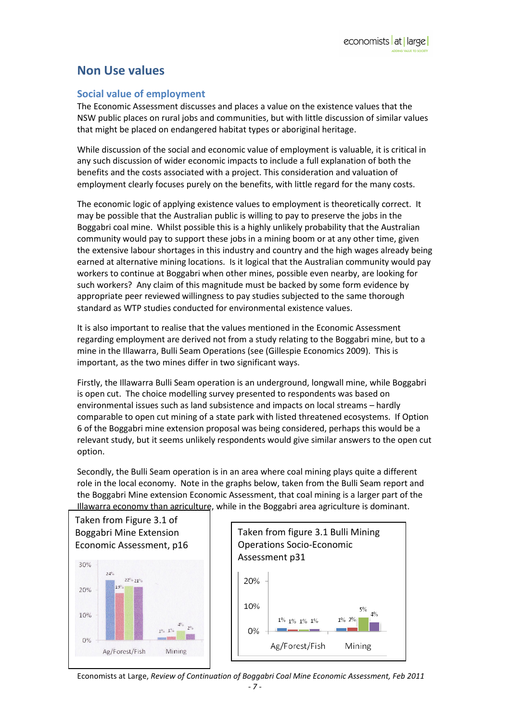# Non Use values

#### Social value of employment

The Economic Assessment discusses and places a value on the existence values that the NSW public places on rural jobs and communities, but with little discussion of similar values that might be placed on endangered habitat types or aboriginal heritage.

While discussion of the social and economic value of employment is valuable, it is critical in any such discussion of wider economic impacts to include a full explanation of both the benefits and the costs associated with a project. This consideration and valuation of employment clearly focuses purely on the benefits, with little regard for the many costs.

The economic logic of applying existence values to employment is theoretically correct. It may be possible that the Australian public is willing to pay to preserve the jobs in the Boggabri coal mine. Whilst possible this is a highly unlikely probability that the Australian community would pay to support these jobs in a mining boom or at any other time, given the extensive labour shortages in this industry and country and the high wages already being earned at alternative mining locations. Is it logical that the Australian community would pay workers to continue at Boggabri when other mines, possible even nearby, are looking for such workers? Any claim of this magnitude must be backed by some form evidence by appropriate peer reviewed willingness to pay studies subjected to the same thorough standard as WTP studies conducted for environmental existence values.

It is also important to realise that the values mentioned in the Economic Assessment regarding employment are derived not from a study relating to the Boggabri mine, but to a mine in the Illawarra, Bulli Seam Operations (see (Gillespie Economics 2009). This is important, as the two mines differ in two significant ways.

Firstly, the Illawarra Bulli Seam operation is an underground, longwall mine, while Boggabri is open cut. The choice modelling survey presented to respondents was based on environmental issues such as land subsistence and impacts on local streams – hardly comparable to open cut mining of a state park with listed threatened ecosystems. If Option 6 of the Boggabri mine extension proposal was being considered, perhaps this would be a relevant study, but it seems unlikely respondents would give similar answers to the open cut option.

Secondly, the Bulli Seam operation is in an area where coal mining plays quite a different role in the local economy. Note in the graphs below, taken from the Bulli Seam report and the Boggabri Mine extension Economic Assessment, that coal mining is a larger part of the Illawarra economy than agriculture, while in the Boggabri area agriculture is dominant.



Economists at Large, Review of Continuation of Boggabri Coal Mine Economic Assessment, Feb 2011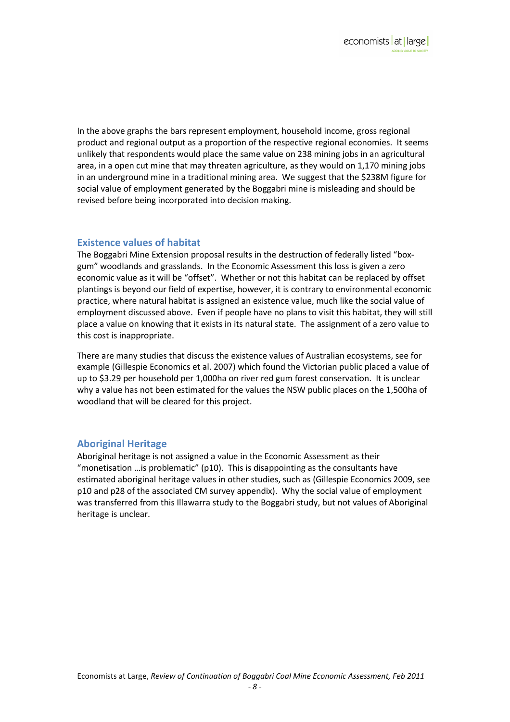In the above graphs the bars represent employment, household income, gross regional product and regional output as a proportion of the respective regional economies. It seems unlikely that respondents would place the same value on 238 mining jobs in an agricultural area, in a open cut mine that may threaten agriculture, as they would on 1,170 mining jobs in an underground mine in a traditional mining area. We suggest that the \$238M figure for social value of employment generated by the Boggabri mine is misleading and should be revised before being incorporated into decision making.

#### Existence values of habitat

The Boggabri Mine Extension proposal results in the destruction of federally listed "boxgum" woodlands and grasslands. In the Economic Assessment this loss is given a zero economic value as it will be "offset". Whether or not this habitat can be replaced by offset plantings is beyond our field of expertise, however, it is contrary to environmental economic practice, where natural habitat is assigned an existence value, much like the social value of employment discussed above. Even if people have no plans to visit this habitat, they will still place a value on knowing that it exists in its natural state. The assignment of a zero value to this cost is inappropriate.

There are many studies that discuss the existence values of Australian ecosystems, see for example (Gillespie Economics et al. 2007) which found the Victorian public placed a value of up to \$3.29 per household per 1,000ha on river red gum forest conservation. It is unclear why a value has not been estimated for the values the NSW public places on the 1,500ha of woodland that will be cleared for this project.

## Aboriginal Heritage

Aboriginal heritage is not assigned a value in the Economic Assessment as their "monetisation …is problematic" (p10). This is disappointing as the consultants have estimated aboriginal heritage values in other studies, such as (Gillespie Economics 2009, see p10 and p28 of the associated CM survey appendix). Why the social value of employment was transferred from this Illawarra study to the Boggabri study, but not values of Aboriginal heritage is unclear.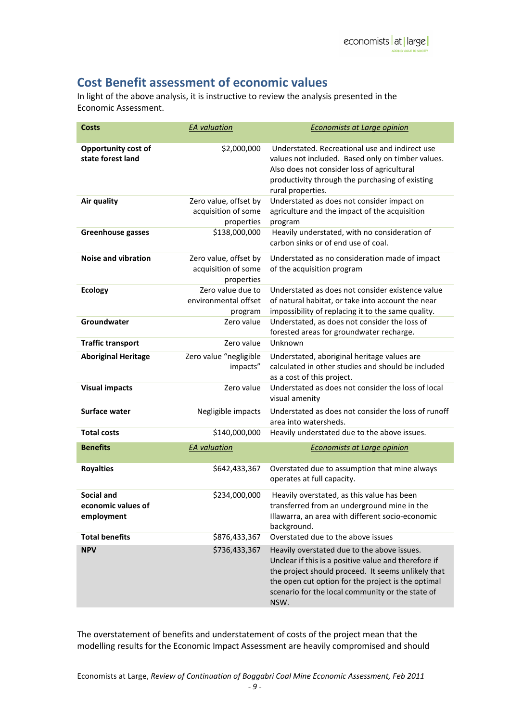# Cost Benefit assessment of economic values

In light of the above analysis, it is instructive to review the analysis presented in the Economic Assessment.

| <b>Costs</b>                                   | <b>EA</b> valuation                                        | <b>Economists at Large opinion</b>                                                                                                                                                                                                                                          |
|------------------------------------------------|------------------------------------------------------------|-----------------------------------------------------------------------------------------------------------------------------------------------------------------------------------------------------------------------------------------------------------------------------|
| Opportunity cost of<br>state forest land       | \$2,000,000                                                | Understated. Recreational use and indirect use<br>values not included. Based only on timber values.<br>Also does not consider loss of agricultural<br>productivity through the purchasing of existing<br>rural properties.                                                  |
| Air quality                                    | Zero value, offset by<br>acquisition of some<br>properties | Understated as does not consider impact on<br>agriculture and the impact of the acquisition<br>program                                                                                                                                                                      |
| Greenhouse gasses                              | \$138,000,000                                              | Heavily understated, with no consideration of<br>carbon sinks or of end use of coal.                                                                                                                                                                                        |
| <b>Noise and vibration</b>                     | Zero value, offset by<br>acquisition of some<br>properties | Understated as no consideration made of impact<br>of the acquisition program                                                                                                                                                                                                |
| <b>Ecology</b>                                 | Zero value due to<br>environmental offset<br>program       | Understated as does not consider existence value<br>of natural habitat, or take into account the near<br>impossibility of replacing it to the same quality.                                                                                                                 |
| Groundwater                                    | Zero value                                                 | Understated, as does not consider the loss of<br>forested areas for groundwater recharge.                                                                                                                                                                                   |
| <b>Traffic transport</b>                       | Zero value                                                 | Unknown                                                                                                                                                                                                                                                                     |
| <b>Aboriginal Heritage</b>                     | Zero value "negligible<br>impacts"                         | Understated, aboriginal heritage values are<br>calculated in other studies and should be included<br>as a cost of this project.                                                                                                                                             |
| <b>Visual impacts</b>                          | Zero value                                                 | Understated as does not consider the loss of local<br>visual amenity                                                                                                                                                                                                        |
| Surface water                                  | Negligible impacts                                         | Understated as does not consider the loss of runoff<br>area into watersheds.                                                                                                                                                                                                |
| <b>Total costs</b>                             | \$140,000,000                                              | Heavily understated due to the above issues.                                                                                                                                                                                                                                |
| <b>Benefits</b>                                | <b>EA</b> valuation                                        | <b>Economists at Large opinion</b>                                                                                                                                                                                                                                          |
| <b>Royalties</b>                               | \$642,433,367                                              | Overstated due to assumption that mine always<br>operates at full capacity.                                                                                                                                                                                                 |
| Social and<br>economic values of<br>employment | \$234,000,000                                              | Heavily overstated, as this value has been<br>transferred from an underground mine in the<br>Illawarra, an area with different socio-economic<br>background.                                                                                                                |
| <b>Total benefits</b>                          | \$876,433,367                                              | Overstated due to the above issues                                                                                                                                                                                                                                          |
| <b>NPV</b>                                     | \$736,433,367                                              | Heavily overstated due to the above issues.<br>Unclear if this is a positive value and therefore if<br>the project should proceed. It seems unlikely that<br>the open cut option for the project is the optimal<br>scenario for the local community or the state of<br>NSW. |

The overstatement of benefits and understatement of costs of the project mean that the modelling results for the Economic Impact Assessment are heavily compromised and should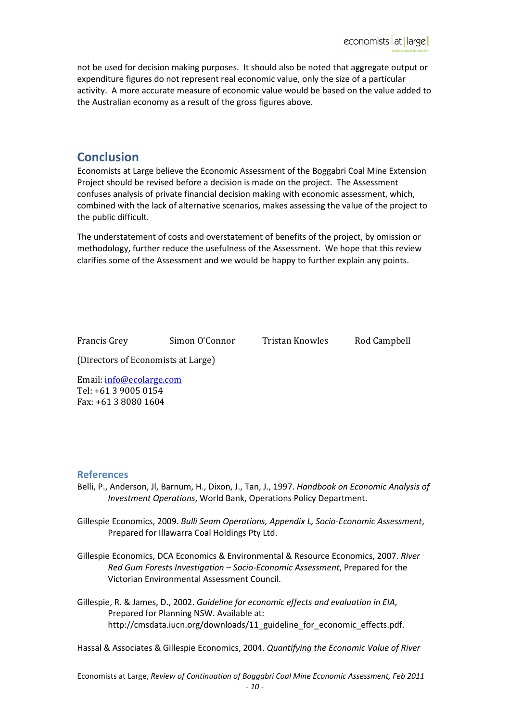not be used for decision making purposes. It should also be noted that aggregate output or expenditure figures do not represent real economic value, only the size of a particular activity. A more accurate measure of economic value would be based on the value added to the Australian economy as a result of the gross figures above.

# **Conclusion**

Economists at Large believe the Economic Assessment of the Boggabri Coal Mine Extension Project should be revised before a decision is made on the project. The Assessment confuses analysis of private financial decision making with economic assessment, which, combined with the lack of alternative scenarios, makes assessing the value of the project to the public difficult.

The understatement of costs and overstatement of benefits of the project, by omission or methodology, further reduce the usefulness of the Assessment. We hope that this review clarifies some of the Assessment and we would be happy to further explain any points.

Francis Grey Simon O'Connor Tristan Knowles Rod Campbell

(Directors of Economists at Large)

Email: info@ecolarge.com Tel: +61 3 9005 0154 Fax: +61 3 8080 1604

#### References

- Belli, P., Anderson, Jl, Barnum, H., Dixon, J., Tan, J., 1997. Handbook on Economic Analysis of Investment Operations, World Bank, Operations Policy Department.
- Gillespie Economics, 2009. Bulli Seam Operations, Appendix L, Socio-Economic Assessment, Prepared for Illawarra Coal Holdings Pty Ltd.
- Gillespie Economics, DCA Economics & Environmental & Resource Economics, 2007. River Red Gum Forests Investigation – Socio-Economic Assessment, Prepared for the Victorian Environmental Assessment Council.
- Gillespie, R. & James, D., 2002. Guideline for economic effects and evaluation in EIA, Prepared for Planning NSW. Available at: http://cmsdata.iucn.org/downloads/11\_guideline\_for\_economic\_effects.pdf.

Hassal & Associates & Gillespie Economics, 2004. Quantifying the Economic Value of River